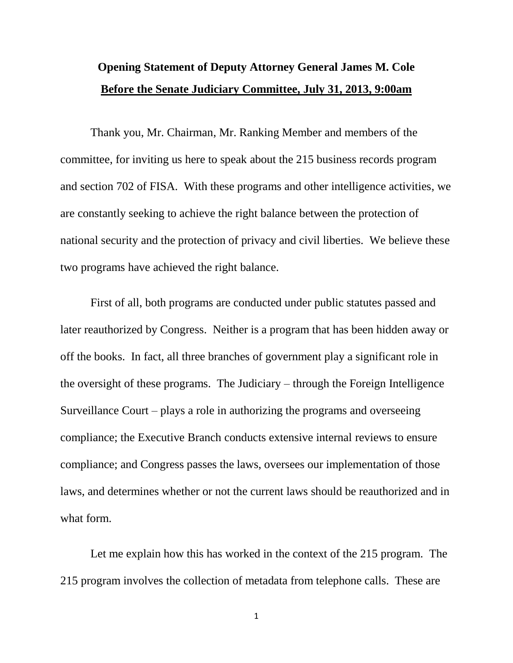## **Opening Statement of Deputy Attorney General James M. Cole Before the Senate Judiciary Committee, July 31, 2013, 9:00am**

Thank you, Mr. Chairman, Mr. Ranking Member and members of the committee, for inviting us here to speak about the 215 business records program and section 702 of FISA. With these programs and other intelligence activities, we are constantly seeking to achieve the right balance between the protection of national security and the protection of privacy and civil liberties. We believe these two programs have achieved the right balance.

First of all, both programs are conducted under public statutes passed and later reauthorized by Congress. Neither is a program that has been hidden away or off the books. In fact, all three branches of government play a significant role in the oversight of these programs. The Judiciary – through the Foreign Intelligence Surveillance Court – plays a role in authorizing the programs and overseeing compliance; the Executive Branch conducts extensive internal reviews to ensure compliance; and Congress passes the laws, oversees our implementation of those laws, and determines whether or not the current laws should be reauthorized and in what form.

Let me explain how this has worked in the context of the 215 program. The 215 program involves the collection of metadata from telephone calls. These are

1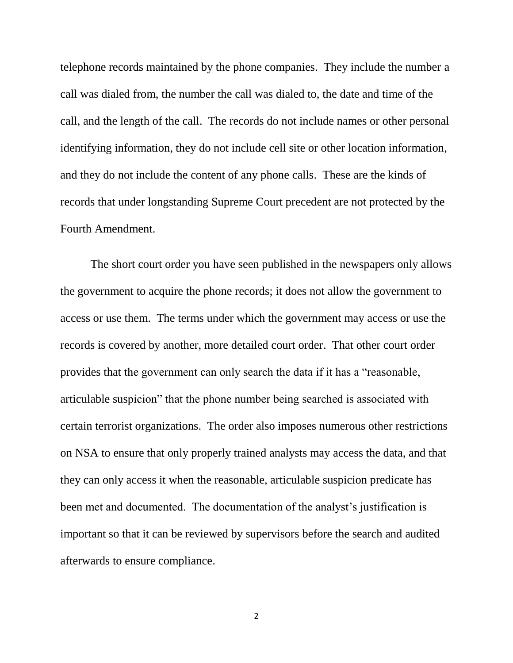telephone records maintained by the phone companies. They include the number a call was dialed from, the number the call was dialed to, the date and time of the call, and the length of the call. The records do not include names or other personal identifying information, they do not include cell site or other location information, and they do not include the content of any phone calls. These are the kinds of records that under longstanding Supreme Court precedent are not protected by the Fourth Amendment.

The short court order you have seen published in the newspapers only allows the government to acquire the phone records; it does not allow the government to access or use them. The terms under which the government may access or use the records is covered by another, more detailed court order. That other court order provides that the government can only search the data if it has a "reasonable, articulable suspicion" that the phone number being searched is associated with certain terrorist organizations. The order also imposes numerous other restrictions on NSA to ensure that only properly trained analysts may access the data, and that they can only access it when the reasonable, articulable suspicion predicate has been met and documented. The documentation of the analyst's justification is important so that it can be reviewed by supervisors before the search and audited afterwards to ensure compliance.

2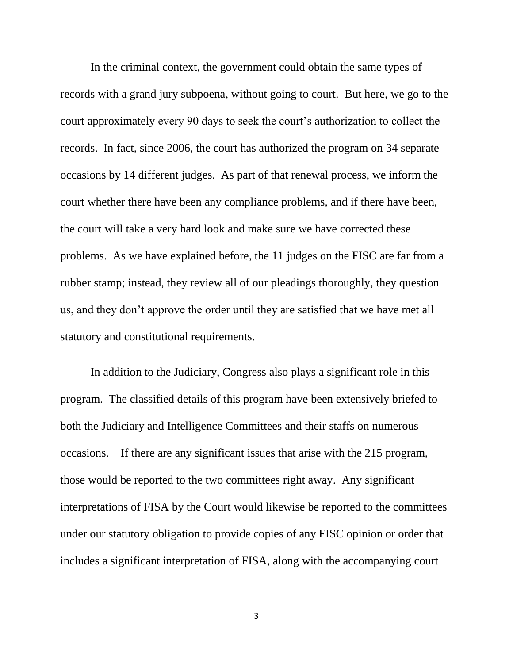In the criminal context, the government could obtain the same types of records with a grand jury subpoena, without going to court. But here, we go to the court approximately every 90 days to seek the court's authorization to collect the records. In fact, since 2006, the court has authorized the program on 34 separate occasions by 14 different judges. As part of that renewal process, we inform the court whether there have been any compliance problems, and if there have been, the court will take a very hard look and make sure we have corrected these problems. As we have explained before, the 11 judges on the FISC are far from a rubber stamp; instead, they review all of our pleadings thoroughly, they question us, and they don't approve the order until they are satisfied that we have met all statutory and constitutional requirements.

In addition to the Judiciary, Congress also plays a significant role in this program. The classified details of this program have been extensively briefed to both the Judiciary and Intelligence Committees and their staffs on numerous occasions. If there are any significant issues that arise with the 215 program, those would be reported to the two committees right away. Any significant interpretations of FISA by the Court would likewise be reported to the committees under our statutory obligation to provide copies of any FISC opinion or order that includes a significant interpretation of FISA, along with the accompanying court

3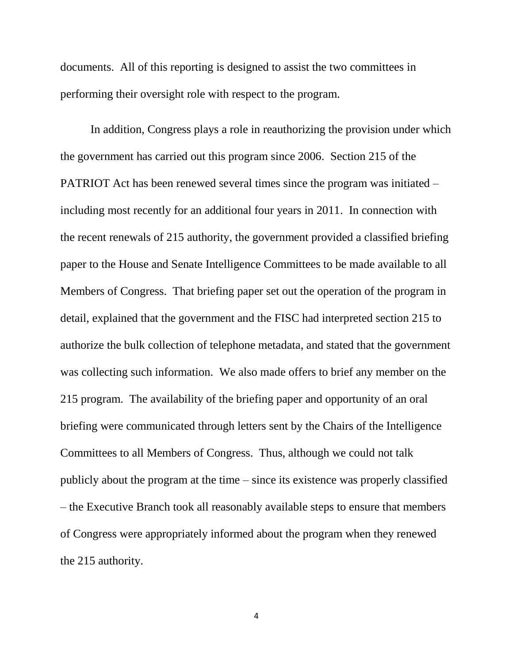documents. All of this reporting is designed to assist the two committees in performing their oversight role with respect to the program.

In addition, Congress plays a role in reauthorizing the provision under which the government has carried out this program since 2006. Section 215 of the PATRIOT Act has been renewed several times since the program was initiated – including most recently for an additional four years in 2011. In connection with the recent renewals of 215 authority, the government provided a classified briefing paper to the House and Senate Intelligence Committees to be made available to all Members of Congress. That briefing paper set out the operation of the program in detail, explained that the government and the FISC had interpreted section 215 to authorize the bulk collection of telephone metadata, and stated that the government was collecting such information. We also made offers to brief any member on the 215 program. The availability of the briefing paper and opportunity of an oral briefing were communicated through letters sent by the Chairs of the Intelligence Committees to all Members of Congress. Thus, although we could not talk publicly about the program at the time – since its existence was properly classified – the Executive Branch took all reasonably available steps to ensure that members of Congress were appropriately informed about the program when they renewed the 215 authority.